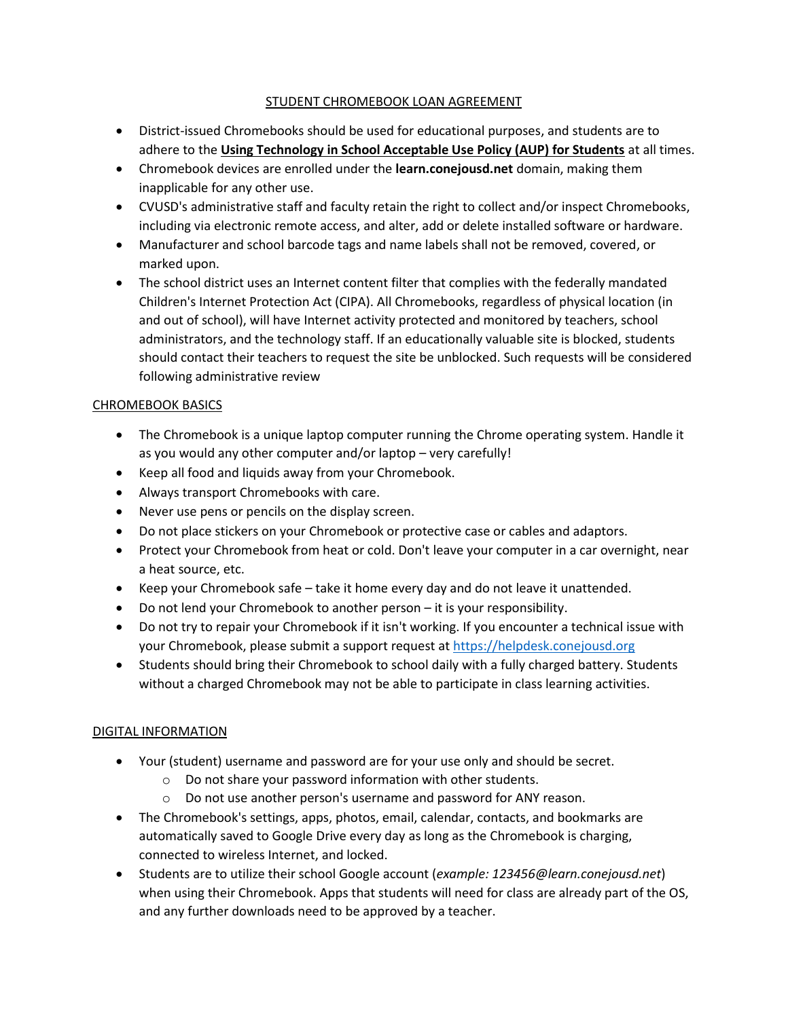# STUDENT CHROMEBOOK LOAN AGREEMENT

- District-issued Chromebooks should be used for educational purposes, and students are to adhere to the **[Using Technology in School Acceptable Use Policy \(AUP\) for Students](http://www.conejousd.org/Portals/0/pdfs/Student%20Use%20of%20Technology%20Guidelines%20and%20Expectations%20-Eng%202018.06.pdf?ver=2018-08-15-140534-147)** at all times.
- Chromebook devices are enrolled under the **learn.conejousd.net** domain, making them inapplicable for any other use.
- CVUSD's administrative staff and faculty retain the right to collect and/or inspect Chromebooks, including via electronic remote access, and alter, add or delete installed software or hardware.
- Manufacturer and school barcode tags and name labels shall not be removed, covered, or marked upon.
- The school district uses an Internet content filter that complies with the federally mandated Children's Internet Protection Act (CIPA). All Chromebooks, regardless of physical location (in and out of school), will have Internet activity protected and monitored by teachers, school administrators, and the technology staff. If an educationally valuable site is blocked, students should contact their teachers to request the site be unblocked. Such requests will be considered following administrative review

# CHROMEBOOK BASICS

- The Chromebook is a unique laptop computer running the Chrome operating system. Handle it as you would any other computer and/or laptop – very carefully!
- Keep all food and liquids away from your Chromebook.
- Always transport Chromebooks with care.
- Never use pens or pencils on the display screen.
- Do not place stickers on your Chromebook or protective case or cables and adaptors.
- Protect your Chromebook from heat or cold. Don't leave your computer in a car overnight, near a heat source, etc.
- Keep your Chromebook safe take it home every day and do not leave it unattended.
- Do not lend your Chromebook to another person it is your responsibility.
- Do not try to repair your Chromebook if it isn't working. If you encounter a technical issue with your Chromebook, please submit a support request at [https://helpdesk.conejousd.org](https://helpdesk.conejousd.org/)
- Students should bring their Chromebook to school daily with a fully charged battery. Students without a charged Chromebook may not be able to participate in class learning activities.

# DIGITAL INFORMATION

- Your (student) username and password are for your use only and should be secret.
	- o Do not share your password information with other students.
	- o Do not use another person's username and password for ANY reason.
- The Chromebook's settings, apps, photos, email, calendar, contacts, and bookmarks are automatically saved to Google Drive every day as long as the Chromebook is charging, connected to wireless Internet, and locked.
- Students are to utilize their school Google account (*example: 123456@learn.conejousd.net*) when using their Chromebook. Apps that students will need for class are already part of the OS, and any further downloads need to be approved by a teacher.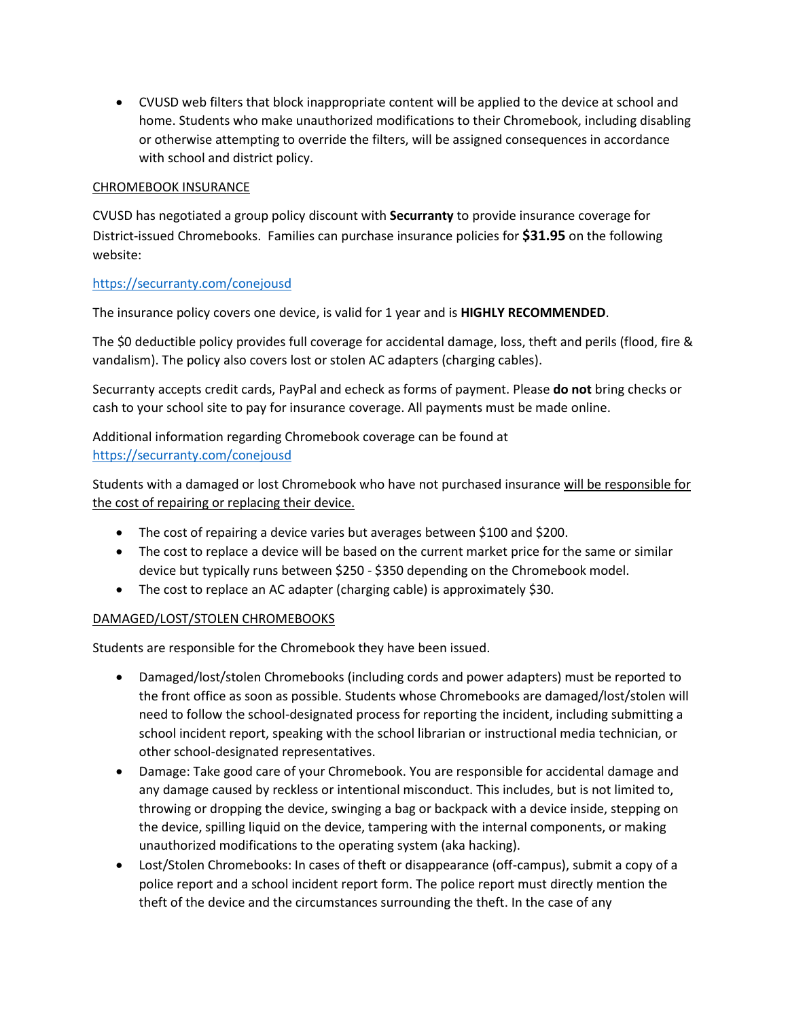• CVUSD web filters that block inappropriate content will be applied to the device at school and home. Students who make unauthorized modifications to their Chromebook, including disabling or otherwise attempting to override the filters, will be assigned consequences in accordance with school and district policy.

### CHROMEBOOK INSURANCE

CVUSD has negotiated a group policy discount with **Securranty** to provide insurance coverage for District-issued Chromebooks. Families can purchase insurance policies for **\$31.95** on the following website:

### <https://securranty.com/conejousd>

The insurance policy covers one device, is valid for 1 year and is **HIGHLY RECOMMENDED**.

The \$0 deductible policy provides full coverage for accidental damage, loss, theft and perils (flood, fire & vandalism). The policy also covers lost or stolen AC adapters (charging cables).

Securranty accepts credit cards, PayPal and echeck as forms of payment. Please **do not** bring checks or cash to your school site to pay for insurance coverage. All payments must be made online.

Additional information regarding Chromebook coverage can be found at <https://securranty.com/conejousd>

Students with a damaged or lost Chromebook who have not purchased insurance will be responsible for the cost of repairing or replacing their device.

- The cost of repairing a device varies but averages between \$100 and \$200.
- The cost to replace a device will be based on the current market price for the same or similar device but typically runs between \$250 - \$350 depending on the Chromebook model.
- The cost to replace an AC adapter (charging cable) is approximately \$30.

#### DAMAGED/LOST/STOLEN CHROMEBOOKS

Students are responsible for the Chromebook they have been issued.

- Damaged/lost/stolen Chromebooks (including cords and power adapters) must be reported to the front office as soon as possible. Students whose Chromebooks are damaged/lost/stolen will need to follow the school-designated process for reporting the incident, including submitting a school incident report, speaking with the school librarian or instructional media technician, or other school-designated representatives.
- Damage: Take good care of your Chromebook. You are responsible for accidental damage and any damage caused by reckless or intentional misconduct. This includes, but is not limited to, throwing or dropping the device, swinging a bag or backpack with a device inside, stepping on the device, spilling liquid on the device, tampering with the internal components, or making unauthorized modifications to the operating system (aka hacking).
- Lost/Stolen Chromebooks: In cases of theft or disappearance (off-campus), submit a copy of a police report and a school incident report form. The police report must directly mention the theft of the device and the circumstances surrounding the theft. In the case of any